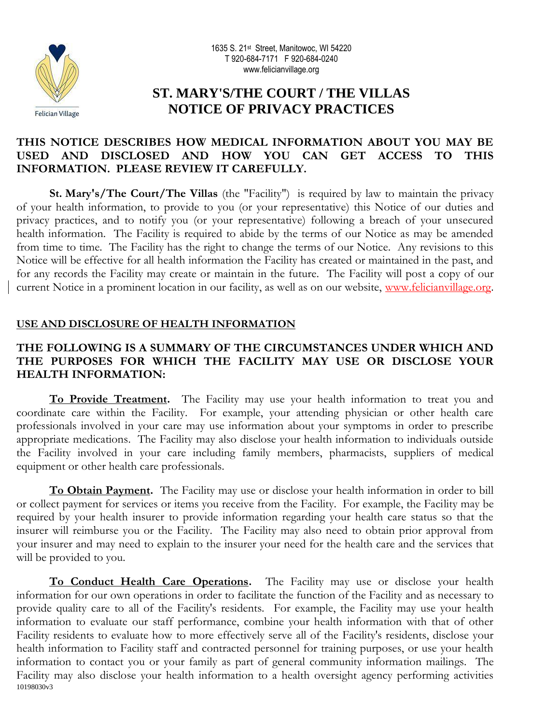



# **ST. MARY'S/THE COURT / THE VILLAS NOTICE OF PRIVACY PRACTICES**

### **THIS NOTICE DESCRIBES HOW MEDICAL INFORMATION ABOUT YOU MAY BE USED AND DISCLOSED AND HOW YOU CAN GET ACCESS TO THIS INFORMATION. PLEASE REVIEW IT CAREFULLY.**

**St. Mary's/The Court/The Villas** (the "Facility") is required by law to maintain the privacy of your health information, to provide to you (or your representative) this Notice of our duties and privacy practices, and to notify you (or your representative) following a breach of your unsecured health information. The Facility is required to abide by the terms of our Notice as may be amended from time to time. The Facility has the right to change the terms of our Notice. Any revisions to this Notice will be effective for all health information the Facility has created or maintained in the past, and for any records the Facility may create or maintain in the future. The Facility will post a copy of our current Notice in a prominent location in our facility, as well as on our website, www.felicianvillage.org.

### **USE AND DISCLOSURE OF HEALTH INFORMATION**

### **THE FOLLOWING IS A SUMMARY OF THE CIRCUMSTANCES UNDER WHICH AND THE PURPOSES FOR WHICH THE FACILITY MAY USE OR DISCLOSE YOUR HEALTH INFORMATION:**

**To Provide Treatment.** The Facility may use your health information to treat you and coordinate care within the Facility. For example, your attending physician or other health care professionals involved in your care may use information about your symptoms in order to prescribe appropriate medications. The Facility may also disclose your health information to individuals outside the Facility involved in your care including family members, pharmacists, suppliers of medical equipment or other health care professionals.

**To Obtain Payment.** The Facility may use or disclose your health information in order to bill or collect payment for services or items you receive from the Facility. For example, the Facility may be required by your health insurer to provide information regarding your health care status so that the insurer will reimburse you or the Facility. The Facility may also need to obtain prior approval from your insurer and may need to explain to the insurer your need for the health care and the services that will be provided to you.

10198030v3 **To Conduct Health Care Operations.** The Facility may use or disclose your health information for our own operations in order to facilitate the function of the Facility and as necessary to provide quality care to all of the Facility's residents. For example, the Facility may use your health information to evaluate our staff performance, combine your health information with that of other Facility residents to evaluate how to more effectively serve all of the Facility's residents, disclose your health information to Facility staff and contracted personnel for training purposes, or use your health information to contact you or your family as part of general community information mailings. The Facility may also disclose your health information to a health oversight agency performing activities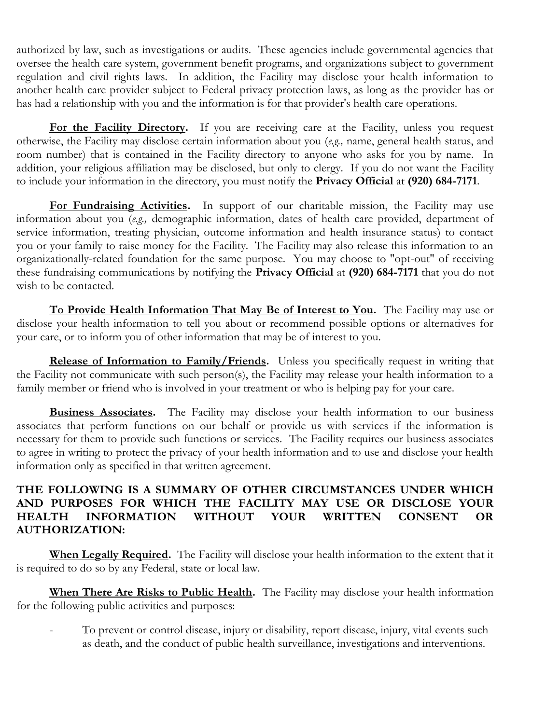authorized by law, such as investigations or audits. These agencies include governmental agencies that oversee the health care system, government benefit programs, and organizations subject to government regulation and civil rights laws. In addition, the Facility may disclose your health information to another health care provider subject to Federal privacy protection laws, as long as the provider has or has had a relationship with you and the information is for that provider's health care operations.

For the Facility Directory. If you are receiving care at the Facility, unless you request otherwise, the Facility may disclose certain information about you (*e.g.,* name, general health status, and room number) that is contained in the Facility directory to anyone who asks for you by name. In addition, your religious affiliation may be disclosed, but only to clergy. If you do not want the Facility to include your information in the directory, you must notify the **Privacy Official** at **(920) 684-7171**.

For Fundraising Activities. In support of our charitable mission, the Facility may use information about you (*e.g.,* demographic information, dates of health care provided, department of service information, treating physician, outcome information and health insurance status) to contact you or your family to raise money for the Facility. The Facility may also release this information to an organizationally-related foundation for the same purpose. You may choose to "opt-out" of receiving these fundraising communications by notifying the **Privacy Official** at **(920) 684-7171** that you do not wish to be contacted.

**To Provide Health Information That May Be of Interest to You.** The Facility may use or disclose your health information to tell you about or recommend possible options or alternatives for your care, or to inform you of other information that may be of interest to you.

**Release of Information to Family/Friends.** Unless you specifically request in writing that the Facility not communicate with such person(s), the Facility may release your health information to a family member or friend who is involved in your treatment or who is helping pay for your care.

**Business Associates.** The Facility may disclose your health information to our business associates that perform functions on our behalf or provide us with services if the information is necessary for them to provide such functions or services. The Facility requires our business associates to agree in writing to protect the privacy of your health information and to use and disclose your health information only as specified in that written agreement.

# **THE FOLLOWING IS A SUMMARY OF OTHER CIRCUMSTANCES UNDER WHICH AND PURPOSES FOR WHICH THE FACILITY MAY USE OR DISCLOSE YOUR HEALTH INFORMATION WITHOUT YOUR WRITTEN CONSENT OR AUTHORIZATION:**

**When Legally Required.** The Facility will disclose your health information to the extent that it is required to do so by any Federal, state or local law.

**When There Are Risks to Public Health.** The Facility may disclose your health information for the following public activities and purposes:

To prevent or control disease, injury or disability, report disease, injury, vital events such as death, and the conduct of public health surveillance, investigations and interventions.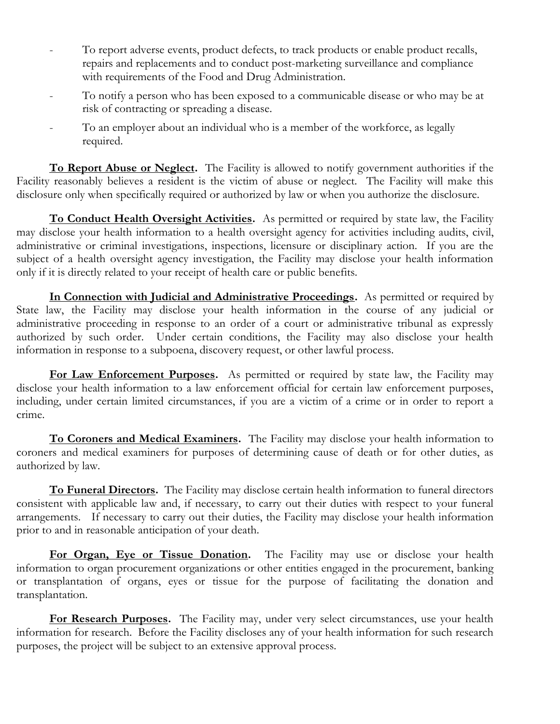- To report adverse events, product defects, to track products or enable product recalls, repairs and replacements and to conduct post-marketing surveillance and compliance with requirements of the Food and Drug Administration.
- To notify a person who has been exposed to a communicable disease or who may be at risk of contracting or spreading a disease.
- To an employer about an individual who is a member of the workforce, as legally required.

**To Report Abuse or Neglect.** The Facility is allowed to notify government authorities if the Facility reasonably believes a resident is the victim of abuse or neglect. The Facility will make this disclosure only when specifically required or authorized by law or when you authorize the disclosure.

**To Conduct Health Oversight Activities.** As permitted or required by state law, the Facility may disclose your health information to a health oversight agency for activities including audits, civil, administrative or criminal investigations, inspections, licensure or disciplinary action. If you are the subject of a health oversight agency investigation, the Facility may disclose your health information only if it is directly related to your receipt of health care or public benefits.

**In Connection with Judicial and Administrative Proceedings.** As permitted or required by State law, the Facility may disclose your health information in the course of any judicial or administrative proceeding in response to an order of a court or administrative tribunal as expressly authorized by such order. Under certain conditions, the Facility may also disclose your health information in response to a subpoena, discovery request, or other lawful process.

For Law Enforcement Purposes. As permitted or required by state law, the Facility may disclose your health information to a law enforcement official for certain law enforcement purposes, including, under certain limited circumstances, if you are a victim of a crime or in order to report a crime.

**To Coroners and Medical Examiners.** The Facility may disclose your health information to coroners and medical examiners for purposes of determining cause of death or for other duties, as authorized by law.

**To Funeral Directors.** The Facility may disclose certain health information to funeral directors consistent with applicable law and, if necessary, to carry out their duties with respect to your funeral arrangements. If necessary to carry out their duties, the Facility may disclose your health information prior to and in reasonable anticipation of your death.

For Organ, Eye or Tissue Donation. The Facility may use or disclose your health information to organ procurement organizations or other entities engaged in the procurement, banking or transplantation of organs, eyes or tissue for the purpose of facilitating the donation and transplantation.

**For Research Purposes.** The Facility may, under very select circumstances, use your health information for research. Before the Facility discloses any of your health information for such research purposes, the project will be subject to an extensive approval process.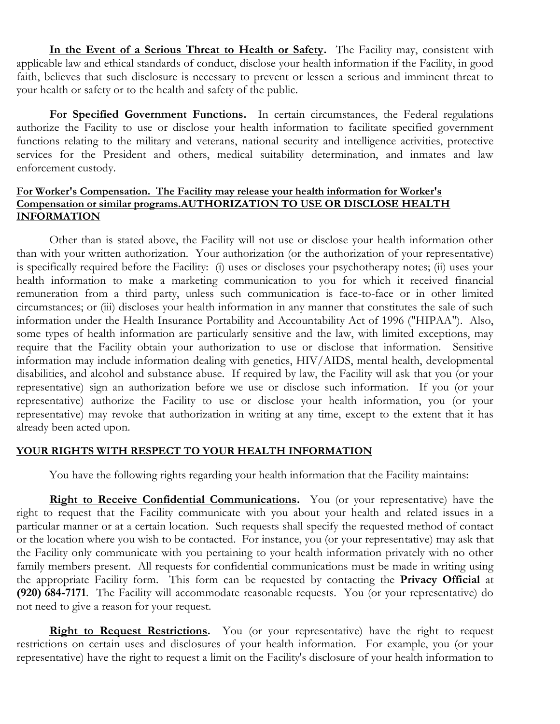**In the Event of a Serious Threat to Health or Safety.** The Facility may, consistent with applicable law and ethical standards of conduct, disclose your health information if the Facility, in good faith, believes that such disclosure is necessary to prevent or lessen a serious and imminent threat to your health or safety or to the health and safety of the public.

**For Specified Government Functions.** In certain circumstances, the Federal regulations authorize the Facility to use or disclose your health information to facilitate specified government functions relating to the military and veterans, national security and intelligence activities, protective services for the President and others, medical suitability determination, and inmates and law enforcement custody.

#### **For Worker's Compensation. The Facility may release your health information for Worker's Compensation or similar programs.AUTHORIZATION TO USE OR DISCLOSE HEALTH INFORMATION**

Other than is stated above, the Facility will not use or disclose your health information other than with your written authorization. Your authorization (or the authorization of your representative) is specifically required before the Facility: (i) uses or discloses your psychotherapy notes; (ii) uses your health information to make a marketing communication to you for which it received financial remuneration from a third party, unless such communication is face-to-face or in other limited circumstances; or (iii) discloses your health information in any manner that constitutes the sale of such information under the Health Insurance Portability and Accountability Act of 1996 ("HIPAA"). Also, some types of health information are particularly sensitive and the law, with limited exceptions, may require that the Facility obtain your authorization to use or disclose that information. Sensitive information may include information dealing with genetics, HIV/AIDS, mental health, developmental disabilities, and alcohol and substance abuse. If required by law, the Facility will ask that you (or your representative) sign an authorization before we use or disclose such information. If you (or your representative) authorize the Facility to use or disclose your health information, you (or your representative) may revoke that authorization in writing at any time, except to the extent that it has already been acted upon.

#### **YOUR RIGHTS WITH RESPECT TO YOUR HEALTH INFORMATION**

You have the following rights regarding your health information that the Facility maintains:

**Right to Receive Confidential Communications.** You (or your representative) have the right to request that the Facility communicate with you about your health and related issues in a particular manner or at a certain location. Such requests shall specify the requested method of contact or the location where you wish to be contacted. For instance, you (or your representative) may ask that the Facility only communicate with you pertaining to your health information privately with no other family members present. All requests for confidential communications must be made in writing using the appropriate Facility form. This form can be requested by contacting the **Privacy Official** at **(920) 684-7171**. The Facility will accommodate reasonable requests. You (or your representative) do not need to give a reason for your request.

**Right to Request Restrictions.** You (or your representative) have the right to request restrictions on certain uses and disclosures of your health information. For example, you (or your representative) have the right to request a limit on the Facility's disclosure of your health information to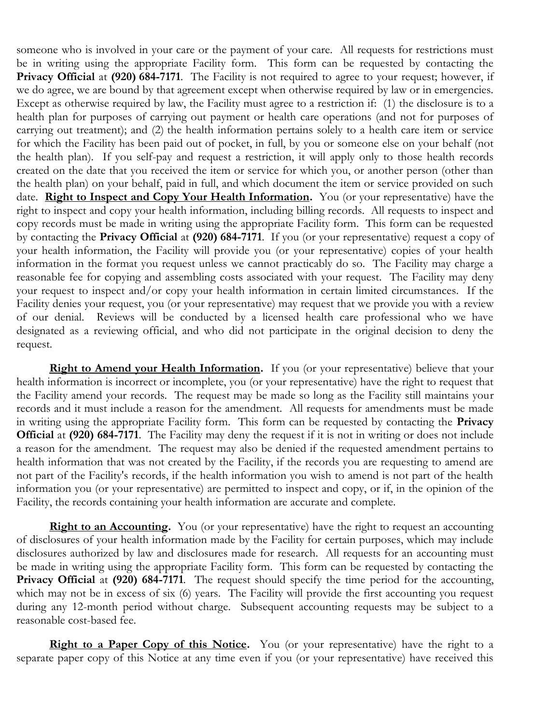someone who is involved in your care or the payment of your care. All requests for restrictions must be in writing using the appropriate Facility form. This form can be requested by contacting the **Privacy Official** at (920) 684-7171. The Facility is not required to agree to your request; however, if we do agree, we are bound by that agreement except when otherwise required by law or in emergencies. Except as otherwise required by law, the Facility must agree to a restriction if: (1) the disclosure is to a health plan for purposes of carrying out payment or health care operations (and not for purposes of carrying out treatment); and (2) the health information pertains solely to a health care item or service for which the Facility has been paid out of pocket, in full, by you or someone else on your behalf (not the health plan). If you self-pay and request a restriction, it will apply only to those health records created on the date that you received the item or service for which you, or another person (other than the health plan) on your behalf, paid in full, and which document the item or service provided on such date. **Right to Inspect and Copy Your Health Information.** You (or your representative) have the right to inspect and copy your health information, including billing records. All requests to inspect and copy records must be made in writing using the appropriate Facility form. This form can be requested by contacting the **Privacy Official** at **(920) 684-7171**. If you (or your representative) request a copy of your health information, the Facility will provide you (or your representative) copies of your health information in the format you request unless we cannot practicably do so. The Facility may charge a reasonable fee for copying and assembling costs associated with your request. The Facility may deny your request to inspect and/or copy your health information in certain limited circumstances. If the Facility denies your request, you (or your representative) may request that we provide you with a review of our denial. Reviews will be conducted by a licensed health care professional who we have designated as a reviewing official, and who did not participate in the original decision to deny the request.

**Right to Amend your Health Information.** If you (or your representative) believe that your health information is incorrect or incomplete, you (or your representative) have the right to request that the Facility amend your records. The request may be made so long as the Facility still maintains your records and it must include a reason for the amendment. All requests for amendments must be made in writing using the appropriate Facility form. This form can be requested by contacting the **Privacy Official** at **(920) 684-7171**. The Facility may deny the request if it is not in writing or does not include a reason for the amendment. The request may also be denied if the requested amendment pertains to health information that was not created by the Facility, if the records you are requesting to amend are not part of the Facility's records, if the health information you wish to amend is not part of the health information you (or your representative) are permitted to inspect and copy, or if, in the opinion of the Facility, the records containing your health information are accurate and complete.

**Right to an Accounting.** You (or your representative) have the right to request an accounting of disclosures of your health information made by the Facility for certain purposes, which may include disclosures authorized by law and disclosures made for research. All requests for an accounting must be made in writing using the appropriate Facility form. This form can be requested by contacting the **Privacy Official** at **(920) 684-7171**. The request should specify the time period for the accounting, which may not be in excess of six (6) years. The Facility will provide the first accounting you request during any 12-month period without charge. Subsequent accounting requests may be subject to a reasonable cost-based fee.

**Right to a Paper Copy of this Notice.** You (or your representative) have the right to a separate paper copy of this Notice at any time even if you (or your representative) have received this